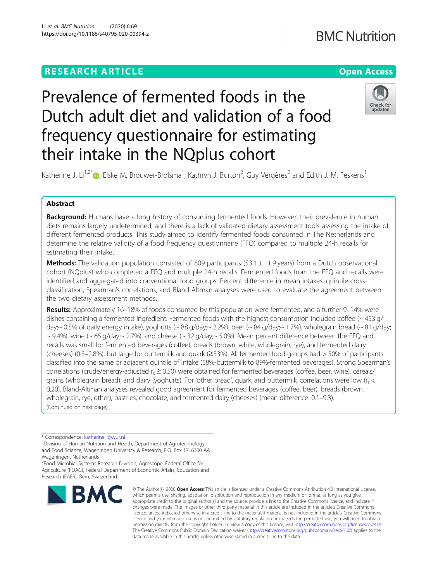# **RESEARCH ARTICLE Example 2014 12:30 The Contract of Contract ACCESS**

# **BMC Nutrition**

# Prevalence of fermented foods in the Dutch adult diet and validation of a food frequency questionnaire for estimating their intake in the NQplus cohort



Katherine J. Li<sup>1,2[\\*](http://orcid.org/0000-0001-8698-7413)</sup>®, Elske M. Brouwer-Brolsma<sup>1</sup>, Kathryn J. Burton<sup>2</sup>, Guy Vergères<sup>2</sup> and Edith J. M. Feskens<sup>1</sup>

# Abstract

**Background:** Humans have a long history of consuming fermented foods. However, their prevalence in human diets remains largely undetermined, and there is a lack of validated dietary assessment tools assessing the intake of different fermented products. This study aimed to identify fermented foods consumed in The Netherlands and determine the relative validity of a food frequency questionnaire (FFQ) compared to multiple 24-h recalls for estimating their intake.

**Methods:** The validation population consisted of 809 participants (53.1  $\pm$  11.9 years) from a Dutch observational cohort (NQplus) who completed a FFQ and multiple 24-h recalls. Fermented foods from the FFQ and recalls were identified and aggregated into conventional food groups. Percent difference in mean intakes, quintile crossclassification, Spearman's correlations, and Bland-Altman analyses were used to evaluate the agreement between the two dietary assessment methods.

Results: Approximately 16–18% of foods consumed by this population were fermented, and a further 9–14% were dishes containing a fermented ingredient. Fermented foods with the highest consumption included coffee (~ 453 g/ day; $\sim$  0.5% of daily energy intake), yoghurts ( $\sim$  88 g/day; $\sim$  2.2%), beer ( $\sim$  84 g/day; $\sim$  1.7%), wholegrain bread ( $\sim$  81 g/day;  $\sim$  9.4%), wine ( $\sim$  65 g/day; $\sim$  2.7%), and cheese ( $\sim$  32 g/day; $\sim$  5.0%). Mean percent difference between the FFQ and recalls was small for fermented beverages (coffee), breads (brown, white, wholegrain, rye), and fermented dairy (cheeses) (0.3–2.8%), but large for buttermilk and quark (≥53%). All fermented food groups had > 50% of participants classified into the same or adjacent quintile of intake (58%-buttermilk to 89%-fermented beverages). Strong Spearman's correlations (crude/energy-adjusted  $r_s \ge 0.50$ ) were obtained for fermented beverages (coffee, beer, wine), cereals/ grains (wholegrain bread), and dairy (yoghurts). For 'other bread', quark, and buttermilk, correlations were low  $(r<sub>s</sub> <$ 0.20). Bland-Altman analyses revealed good agreement for fermented beverages (coffee, beer), breads (brown, wholegrain, rye, other), pastries, chocolate, and fermented dairy (cheeses) (mean difference: 0.1–9.3). (Continued on next page)

<sup>1</sup> Division of Human Nutrition and Health, Department of Agrotechnology and Food Science, Wageningen University & Research, P.O. Box 17, 6700 AA Wageningen, Netherlands

<sup>&</sup>lt;sup>2</sup> Food Microbial Systems Research Division, Agroscope, Federal Office for Agriculture (FOAG), Federal Department of Economic Affairs, Education and Research (EAER), Bern, Switzerland



<sup>©</sup> The Author(s), 2020 **Open Access** This article is licensed under a Creative Commons Attribution 4.0 International License, which permits use, sharing, adaptation, distribution and reproduction in any medium or format, as long as you give appropriate credit to the original author(s) and the source, provide a link to the Creative Commons licence, and indicate if changes were made. The images or other third party material in this article are included in the article's Creative Commons licence, unless indicated otherwise in a credit line to the material. If material is not included in the article's Creative Commons licence and your intended use is not permitted by statutory regulation or exceeds the permitted use, you will need to obtain permission directly from the copyright holder. To view a copy of this licence, visit [http://creativecommons.org/licenses/by/4.0/.](http://creativecommons.org/licenses/by/4.0/) The Creative Commons Public Domain Dedication waiver [\(http://creativecommons.org/publicdomain/zero/1.0/](http://creativecommons.org/publicdomain/zero/1.0/)) applies to the data made available in this article, unless otherwise stated in a credit line to the data.

<sup>\*</sup> Correspondence: [katherine.li@wur.nl](mailto:katherine.li@wur.nl) <sup>1</sup>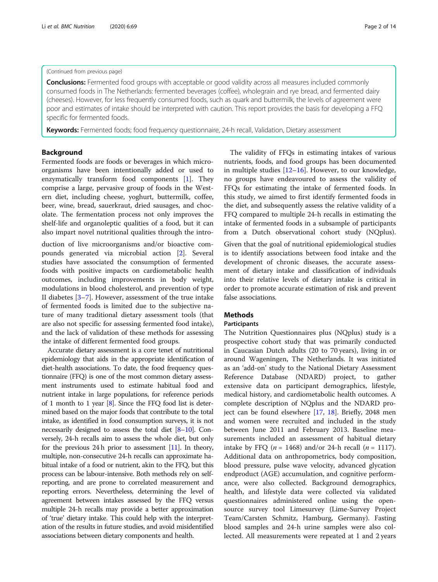#### (Continued from previous page)

**Conclusions:** Fermented food groups with acceptable or good validity across all measures included commonly consumed foods in The Netherlands: fermented beverages (coffee), wholegrain and rye bread, and fermented dairy (cheeses). However, for less frequently consumed foods, such as quark and buttermilk, the levels of agreement were poor and estimates of intake should be interpreted with caution. This report provides the basis for developing a FFQ specific for fermented foods.

Keywords: Fermented foods; food frequency questionnaire, 24-h recall, Validation, Dietary assessment

### Background

Fermented foods are foods or beverages in which microorganisms have been intentionally added or used to enzymatically transform food components [\[1](#page-12-0)]. They comprise a large, pervasive group of foods in the Western diet, including cheese, yoghurt, buttermilk, coffee, beer, wine, bread, sauerkraut, dried sausages, and chocolate. The fermentation process not only improves the shelf-life and organoleptic qualities of a food, but it can also impart novel nutritional qualities through the intro-

duction of live microorganisms and/or bioactive compounds generated via microbial action [[2\]](#page-12-0). Several studies have associated the consumption of fermented foods with positive impacts on cardiometabolic health outcomes, including improvements in body weight, modulations in blood cholesterol, and prevention of type II diabetes [\[3](#page-12-0)–[7](#page-13-0)]. However, assessment of the true intake of fermented foods is limited due to the subjective nature of many traditional dietary assessment tools (that are also not specific for assessing fermented food intake), and the lack of validation of these methods for assessing the intake of different fermented food groups.

Accurate dietary assessment is a core tenet of nutritional epidemiology that aids in the appropriate identification of diet-health associations. To date, the food frequency questionnaire (FFQ) is one of the most common dietary assessment instruments used to estimate habitual food and nutrient intake in large populations, for reference periods of 1 month to 1 year [[8\]](#page-13-0). Since the FFQ food list is determined based on the major foods that contribute to the total intake, as identified in food consumption surveys, it is not necessarily designed to assess the total diet [\[8](#page-13-0)–[10](#page-13-0)]. Conversely, 24-h recalls aim to assess the whole diet, but only for the previous 24 h prior to assessment  $[11]$ . In theory, multiple, non-consecutive 24-h recalls can approximate habitual intake of a food or nutrient, akin to the FFQ, but this process can be labour-intensive. Both methods rely on selfreporting, and are prone to correlated measurement and reporting errors. Nevertheless, determining the level of agreement between intakes assessed by the FFQ versus multiple 24-h recalls may provide a better approximation of 'true' dietary intake. This could help with the interpretation of the results in future studies, and avoid misidentified associations between dietary components and health.

The validity of FFQs in estimating intakes of various nutrients, foods, and food groups has been documented in multiple studies  $[12–16]$  $[12–16]$  $[12–16]$  $[12–16]$  $[12–16]$ . However, to our knowledge, no groups have endeavoured to assess the validity of FFQs for estimating the intake of fermented foods. In this study, we aimed to first identify fermented foods in the diet, and subsequently assess the relative validity of a FFQ compared to multiple 24-h recalls in estimating the intake of fermented foods in a subsample of participants from a Dutch observational cohort study (NQplus).

Given that the goal of nutritional epidemiological studies is to identify associations between food intake and the development of chronic diseases, the accurate assessment of dietary intake and classification of individuals into their relative levels of dietary intake is critical in order to promote accurate estimation of risk and prevent false associations.

### **Methods**

#### **Participants**

The Nutrition Questionnaires plus (NQplus) study is a prospective cohort study that was primarily conducted in Caucasian Dutch adults (20 to 70 years), living in or around Wageningen, The Netherlands. It was initiated as an 'add-on' study to the National Dietary Assessment Reference Database (NDARD) project, to gather extensive data on participant demographics, lifestyle, medical history, and cardiometabolic health outcomes. A complete description of NQplus and the NDARD project can be found elsewhere [[17](#page-13-0), [18](#page-13-0)]. Briefly, 2048 men and women were recruited and included in the study between June 2011 and February 2013. Baseline measurements included an assessment of habitual dietary intake by FFQ ( $n = 1468$ ) and/or 24-h recall ( $n = 1117$ ). Additional data on anthropometrics, body composition, blood pressure, pulse wave velocity, advanced glycation endproduct (AGE) accumulation, and cognitive performance, were also collected. Background demographics, health, and lifestyle data were collected via validated questionnaires administered online using the opensource survey tool Limesurvey (Lime-Survey Project Team/Carsten Schmitz, Hamburg, Germany). Fasting blood samples and 24-h urine samples were also collected. All measurements were repeated at 1 and 2 years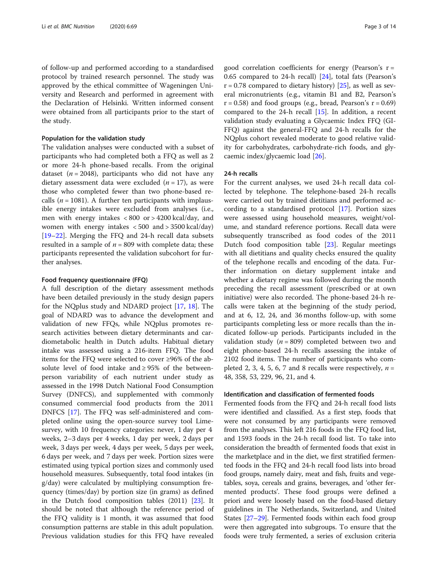of follow-up and performed according to a standardised protocol by trained research personnel. The study was approved by the ethical committee of Wageningen University and Research and performed in agreement with the Declaration of Helsinki. Written informed consent were obtained from all participants prior to the start of the study.

#### Population for the validation study

The validation analyses were conducted with a subset of participants who had completed both a FFQ as well as 2 or more 24-h phone-based recalls. From the original dataset ( $n = 2048$ ), participants who did not have any dietary assessment data were excluded  $(n = 17)$ , as were those who completed fewer than two phone-based recalls ( $n = 1081$ ). A further ten participants with implausible energy intakes were excluded from analyses (i.e., men with energy intakes < 800 or > 4200 kcal/day, and women with energy intakes < 500 and > 3500 kcal/day) [[19](#page-13-0)–[22](#page-13-0)]. Merging the FFQ and 24-h recall data subsets resulted in a sample of  $n = 809$  with complete data; these participants represented the validation subcohort for further analyses.

#### Food frequency questionnaire (FFQ)

A full description of the dietary assessment methods have been detailed previously in the study design papers for the NQplus study and NDARD project [\[17](#page-13-0), [18\]](#page-13-0). The goal of NDARD was to advance the development and validation of new FFQs, while NQplus promotes research activities between dietary determinants and cardiometabolic health in Dutch adults. Habitual dietary intake was assessed using a 216-item FFQ. The food items for the FFQ were selected to cover ≥96% of the absolute level of food intake and  $\geq$  95% of the betweenperson variability of each nutrient under study as assessed in the 1998 Dutch National Food Consumption Survey (DNFCS), and supplemented with commonly consumed commercial food products from the 2011 DNFCS [\[17](#page-13-0)]. The FFQ was self-administered and completed online using the open-source survey tool Limesurvey, with 10 frequency categories: never, 1 day per 4 weeks, 2–3 days per 4 weeks, 1 day per week, 2 days per week, 3 days per week, 4 days per week, 5 days per week, 6 days per week, and 7 days per week. Portion sizes were estimated using typical portion sizes and commonly used household measures. Subsequently, total food intakes (in g/day) were calculated by multiplying consumption frequency (times/day) by portion size (in grams) as defined in the Dutch food composition tables (2011) [\[23](#page-13-0)]. It should be noted that although the reference period of the FFQ validity is 1 month, it was assumed that food consumption patterns are stable in this adult population. Previous validation studies for this FFQ have revealed good correlation coefficients for energy (Pearson's  $r =$ 0.65 compared to 24-h recall) [[24](#page-13-0)], total fats (Pearson's  $r = 0.78$  compared to dietary history) [[25\]](#page-13-0), as well as several micronutrients (e.g., vitamin B1 and B2, Pearson's  $r = 0.58$ ) and food groups (e.g., bread, Pearson's  $r = 0.69$ ) compared to the 24-h recall  $[15]$  $[15]$ . In addition, a recent validation study evaluating a Glycaemic Index FFQ (GI-FFQ) against the general-FFQ and 24-h recalls for the NQplus cohort revealed moderate to good relative validity for carbohydrates, carbohydrate-rich foods, and glycaemic index/glycaemic load [\[26](#page-13-0)].

#### 24-h recalls

For the current analyses, we used 24-h recall data collected by telephone. The telephone-based 24-h recalls were carried out by trained dietitians and performed according to a standardised protocol [[17](#page-13-0)]. Portion sizes were assessed using household measures, weight/volume, and standard reference portions. Recall data were subsequently transcribed as food codes of the 2011 Dutch food composition table [\[23](#page-13-0)]. Regular meetings with all dietitians and quality checks ensured the quality of the telephone recalls and encoding of the data. Further information on dietary supplement intake and whether a dietary regime was followed during the month preceding the recall assessment (prescribed or at own initiative) were also recorded. The phone-based 24-h recalls were taken at the beginning of the study period, and at 6, 12, 24, and 36 months follow-up, with some participants completing less or more recalls than the indicated follow-up periods. Participants included in the validation study ( $n = 809$ ) completed between two and eight phone-based 24-h recalls assessing the intake of 2102 food items. The number of participants who completed 2, 3, 4, 5, 6, 7 and 8 recalls were respectively,  $n =$ 48, 358, 53, 229, 96, 21, and 4.

#### Identification and classification of fermented foods

Fermented foods from the FFQ and 24-h recall food lists were identified and classified. As a first step, foods that were not consumed by any participants were removed from the analyses. This left 216 foods in the FFQ food list, and 1593 foods in the 24-h recall food list. To take into consideration the breadth of fermented foods that exist in the marketplace and in the diet, we first stratified fermented foods in the FFQ and 24-h recall food lists into broad food groups, namely dairy, meat and fish, fruits and vegetables, soya, cereals and grains, beverages, and 'other fermented products'. These food groups were defined a priori and were loosely based on the food-based dietary guidelines in The Netherlands, Switzerland, and United States [\[27](#page-13-0)–[29](#page-13-0)]. Fermented foods within each food group were then aggregated into subgroups. To ensure that the foods were truly fermented, a series of exclusion criteria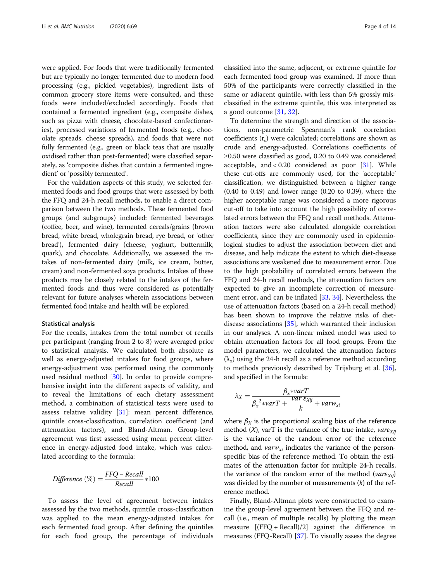were applied. For foods that were traditionally fermented but are typically no longer fermented due to modern food processing (e.g., pickled vegetables), ingredient lists of common grocery store items were consulted, and these foods were included/excluded accordingly. Foods that contained a fermented ingredient (e.g., composite dishes, such as pizza with cheese, chocolate-based confectionaries), processed variations of fermented foods (e.g., chocolate spreads, cheese spreads), and foods that were not fully fermented (e.g., green or black teas that are usually oxidised rather than post-fermented) were classified separately, as 'composite dishes that contain a fermented ingredient' or 'possibly fermented'.

For the validation aspects of this study, we selected fermented foods and food groups that were assessed by both the FFQ and 24-h recall methods, to enable a direct comparison between the two methods. These fermented food groups (and subgroups) included: fermented beverages (coffee, beer, and wine), fermented cereals/grains (brown bread, white bread, wholegrain bread, rye bread, or 'other bread'), fermented dairy (cheese, yoghurt, buttermilk, quark), and chocolate. Additionally, we assessed the intakes of non-fermented dairy (milk, ice cream, butter, cream) and non-fermented soya products. Intakes of these products may be closely related to the intakes of the fermented foods and thus were considered as potentially relevant for future analyses wherein associations between fermented food intake and health will be explored.

#### Statistical analysis

For the recalls, intakes from the total number of recalls per participant (ranging from 2 to 8) were averaged prior to statistical analysis. We calculated both absolute as well as energy-adjusted intakes for food groups, where energy-adjustment was performed using the commonly used residual method [[30\]](#page-13-0). In order to provide comprehensive insight into the different aspects of validity, and to reveal the limitations of each dietary assessment method, a combination of statistical tests were used to assess relative validity [\[31](#page-13-0)]: mean percent difference, quintile cross-classification, correlation coefficient (and attenuation factors), and Bland-Altman. Group-level agreement was first assessed using mean percent difference in energy-adjusted food intake, which was calculated according to the formula:

$$
Difference\ (\%) = \frac{FFQ - Recall}{Recall} * 100
$$

To assess the level of agreement between intakes assessed by the two methods, quintile cross-classification was applied to the mean energy-adjusted intakes for each fermented food group. After defining the quintiles for each food group, the percentage of individuals

classified into the same, adjacent, or extreme quintile for each fermented food group was examined. If more than 50% of the participants were correctly classified in the same or adjacent quintile, with less than 5% grossly misclassified in the extreme quintile, this was interpreted as a good outcome [[31,](#page-13-0) [32\]](#page-13-0).

To determine the strength and direction of the associations, non-parametric Spearman's rank correlation coefficients  $(r<sub>s</sub>)$  were calculated; correlations are shown as crude and energy-adjusted. Correlations coefficients of ≥0.50 were classified as good, 0.20 to 0.49 was considered acceptable, and  $< 0.20$  considered as poor [\[31\]](#page-13-0). While these cut-offs are commonly used, for the 'acceptable' classification, we distinguished between a higher range (0.40 to 0.49) and lower range (0.20 to 0.39), where the higher acceptable range was considered a more rigorous cut-off to take into account the high possibility of correlated errors between the FFQ and recall methods. Attenuation factors were also calculated alongside correlation coefficients, since they are commonly used in epidemiological studies to adjust the association between diet and disease, and help indicate the extent to which diet-disease associations are weakened due to measurement error. Due to the high probability of correlated errors between the FFQ and 24-h recall methods, the attenuation factors are expected to give an incomplete correction of measurement error, and can be inflated [\[33,](#page-13-0) [34\]](#page-13-0). Nevertheless, the use of attenuation factors (based on a 24-h recall method) has been shown to improve the relative risks of dietdisease associations [\[35\]](#page-13-0), which warranted their inclusion in our analyses. A non-linear mixed model was used to obtain attenuation factors for all food groups. From the model parameters, we calculated the attenuation factors  $(\lambda_x)$  using the 24-h recall as a reference method according to methods previously described by Trijsburg et al. [[36](#page-13-0)], and specified in the formula:

$$
\lambda_X = \frac{\beta_x * varT}{\beta_x^2 * varT + \frac{var \varepsilon_{Xij}}{k} + varw_{xi}}
$$

where  $\beta_X$  is the proportional scaling bias of the reference method (X), varT is the variance of the true intake,  $var_{Xi}$ is the variance of the random error of the reference method, and *varw<sub>xi</sub>* indicates the variance of the personspecific bias of the reference method. To obtain the estimates of the attenuation factor for multiple 24-h recalls, the variance of the random error of the method (var $\varepsilon_{Xii}$ ) was divided by the number of measurements  $(k)$  of the reference method.

Finally, Bland-Altman plots were constructed to examine the group-level agreement between the FFQ and recall (i.e., mean of multiple recalls) by plotting the mean measure  $[(FFQ + Recall)/2]$  against the difference in measures (FFQ-Recall) [[37\]](#page-13-0). To visually assess the degree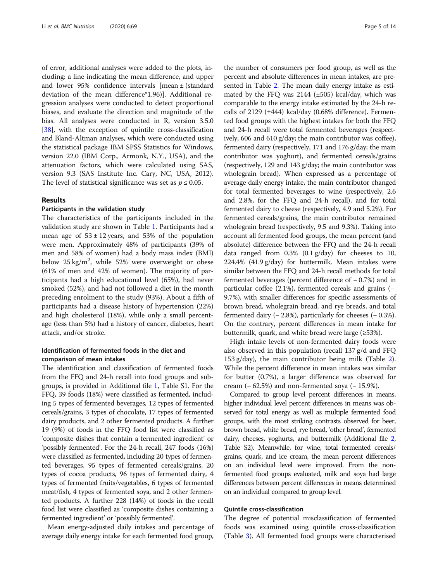of error, additional analyses were added to the plots, including: a line indicating the mean difference, and upper and lower 95% confidence intervals [mean ± (standard deviation of the mean difference\*1.96)]. Additional regression analyses were conducted to detect proportional biases, and evaluate the direction and magnitude of the bias. All analyses were conducted in R, version 3.5.0 [[38\]](#page-13-0), with the exception of quintile cross-classification and Bland-Altman analyses, which were conducted using the statistical package IBM SPSS Statistics for Windows, version 22.0 (IBM Corp., Armonk, N.Y., USA), and the attenuation factors, which were calculated using SAS, version 9.3 (SAS Institute Inc. Cary, NC, USA, 2012). The level of statistical significance was set as  $p \le 0.05$ .

# Results

#### Participants in the validation study

The characteristics of the participants included in the validation study are shown in Table [1.](#page-5-0) Participants had a mean age of  $53 \pm 12$  years, and 53% of the population were men. Approximately 48% of participants (39% of men and 58% of women) had a body mass index (BMI) below  $25 \text{ kg/m}^2$ , while 52% were overweight or obese (61% of men and 42% of women). The majority of participants had a high educational level (65%), had never smoked (52%), and had not followed a diet in the month preceding enrolment to the study (93%). About a fifth of participants had a disease history of hypertension (22%) and high cholesterol (18%), while only a small percentage (less than 5%) had a history of cancer, diabetes, heart attack, and/or stroke.

# Identification of fermented foods in the diet and comparison of mean intakes

The identification and classification of fermented foods from the FFQ and 24-h recall into food groups and subgroups, is provided in Additional file [1](#page-12-0), Table S1. For the FFQ, 39 foods (18%) were classified as fermented, including 5 types of fermented beverages, 12 types of fermented cereals/grains, 3 types of chocolate, 17 types of fermented dairy products, and 2 other fermented products. A further 19 (9%) of foods in the FFQ food list were classified as 'composite dishes that contain a fermented ingredient' or 'possibly fermented'. For the 24-h recall, 247 foods (16%) were classified as fermented, including 20 types of fermented beverages, 95 types of fermented cereals/grains, 20 types of cocoa products, 96 types of fermented dairy, 4 types of fermented fruits/vegetables, 6 types of fermented meat/fish, 4 types of fermented soya, and 2 other fermented products. A further 228 (14%) of foods in the recall food list were classified as 'composite dishes containing a fermented ingredient' or 'possibly fermented'.

Mean energy-adjusted daily intakes and percentage of average daily energy intake for each fermented food group,

the number of consumers per food group, as well as the percent and absolute differences in mean intakes, are presented in Table [2](#page-6-0). The mean daily energy intake as estimated by the FFQ was  $2144$  ( $\pm 505$ ) kcal/day, which was comparable to the energy intake estimated by the 24-h recalls of  $2129$  ( $\pm 444$ ) kcal/day (0.68% difference). Fermented food groups with the highest intakes for both the FFQ and 24-h recall were total fermented beverages (respectively, 606 and 610 g/day; the main contributor was coffee), fermented dairy (respectively, 171 and 176 g/day; the main contributor was yoghurt), and fermented cereals/grains (respectively, 129 and 143 g/day; the main contributor was wholegrain bread). When expressed as a percentage of average daily energy intake, the main contributor changed for total fermented beverages to wine (respectively, 2.6 and 2.8%, for the FFQ and 24-h recall), and for total fermented dairy to cheese (respectively, 4.9 and 5.2%). For fermented cereals/grains, the main contributor remained wholegrain bread (respectively, 9.5 and 9.3%). Taking into account all fermented food groups, the mean percent (and absolute) difference between the FFQ and the 24-h recall data ranged from  $0.3\%$   $(0.1 \text{ g/day})$  for cheeses to 10, 224.4% (41.9 g/day) for buttermilk. Mean intakes were similar between the FFQ and 24-h recall methods for total fermented beverages (percent difference of − 0.7%) and in particular coffee (2.1%), fermented cereals and grains (− 9.7%), with smaller differences for specific assessments of brown bread, wholegrain bread, and rye breads, and total fermented dairy  $(-2.8\%)$ , particularly for cheeses  $(-0.3\%)$ . On the contrary, percent differences in mean intake for buttermilk, quark, and white bread were large (≥53%).

High intake levels of non-fermented dairy foods were also observed in this population (recall 137 g/d and FFQ 153 g/day), the main contributor being milk (Table [2](#page-6-0)). While the percent difference in mean intakes was similar for butter (0.7%), a larger difference was observed for cream  $(-62.5%)$  and non-fermented soya  $(-15.9%).$ 

Compared to group level percent differences in means, higher individual level percent differences in means was observed for total energy as well as multiple fermented food groups, with the most striking contrasts observed for beer, brown bread, white bread, rye bread, 'other bread', fermented dairy, cheeses, yoghurts, and buttermilk (Additional file [2](#page-12-0), Table S2). Meanwhile, for wine, total fermented cereals/ grains, quark, and ice cream, the mean percent differences on an individual level were improved. From the nonfermented food groups evaluated, milk and soya had large differences between percent differences in means determined on an individual compared to group level.

### Quintile cross-classification

The degree of potential misclassification of fermented foods was examined using quintile cross-classification (Table [3](#page-7-0)). All fermented food groups were characterised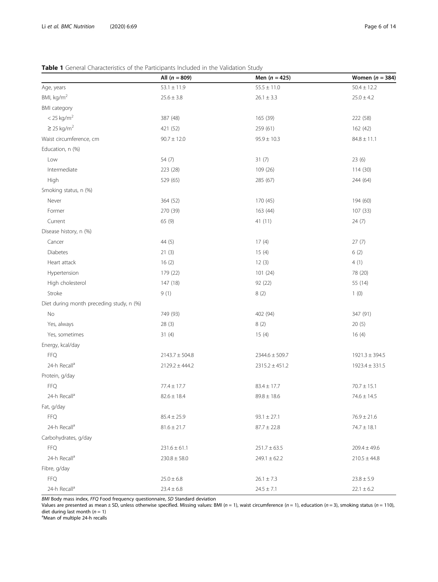# <span id="page-5-0"></span>Table 1 General Characteristics of the Participants Included in the Validation Study

|                                          | All $(n = 809)$    | Men $(n = 425)$    | Women $(n = 384)$  |
|------------------------------------------|--------------------|--------------------|--------------------|
| Age, years                               | $53.1 \pm 11.9$    | $55.5 \pm 11.0$    | $50.4 \pm 12.2$    |
| BMI, kg/m <sup>2</sup>                   | $25.6 \pm 3.8$     | $26.1 \pm 3.3$     | $25.0 \pm 4.2$     |
| <b>BMI</b> category                      |                    |                    |                    |
| $<$ 25 kg/m <sup>2</sup>                 | 387 (48)           | 165 (39)           | 222 (58)           |
| $\geq$ 25 kg/m <sup>2</sup>              | 421 (52)           | 259 (61)           | 162 (42)           |
| Waist circumference, cm                  | $90.7 \pm 12.0$    | $95.9 \pm 10.3$    | $84.8 \pm 11.1$    |
| Education, n (%)                         |                    |                    |                    |
| Low                                      | 54 (7)             | 31(7)              | 23(6)              |
| Intermediate                             | 223 (28)           | 109 (26)           | 114(30)            |
| High                                     | 529 (65)           | 285 (67)           | 244 (64)           |
| Smoking status, n (%)                    |                    |                    |                    |
| Never                                    | 364 (52)           | 170 (45)           | 194 (60)           |
| Former                                   | 270 (39)           | 163 (44)           | 107 (33)           |
| Current                                  | 65 (9)             | 41 (11)            | 24(7)              |
| Disease history, n (%)                   |                    |                    |                    |
| Cancer                                   | 44 (5)             | 17(4)              | 27(7)              |
| Diabetes                                 | 21(3)              | 15(4)              | 6(2)               |
| Heart attack                             | 16(2)              | 12(3)              | 4(1)               |
| Hypertension                             | 179 (22)           | 101(24)            | 78 (20)            |
| High cholesterol                         | 147 (18)           | 92 (22)            | 55 (14)            |
| Stroke                                   | 9(1)               | 8(2)               | 1(0)               |
| Diet during month preceding study, n (%) |                    |                    |                    |
| No                                       | 749 (93)           | 402 (94)           | 347 (91)           |
| Yes, always                              | 28(3)              | 8(2)               | 20(5)              |
| Yes, sometimes                           | 31(4)              | 15(4)              | 16(4)              |
| Energy, kcal/day                         |                    |                    |                    |
| <b>FFQ</b>                               | $2143.7 \pm 504.8$ | $2344.6 \pm 509.7$ | $1921.3 \pm 394.5$ |
| 24-h Recall <sup>a</sup>                 | $2129.2 \pm 444.2$ | $2315.2 \pm 451.2$ | $1923.4 \pm 331.5$ |
| Protein, g/day                           |                    |                    |                    |
| <b>FFQ</b>                               | $77.4 \pm 17.7$    | $83.4 \pm 17.7$    | $70.7 \pm 15.1$    |
| 24-h Recall <sup>a</sup>                 | $82.6 \pm 18.4$    | $89.8 \pm 18.6$    | $74.6 \pm 14.5$    |
| Fat, g/day                               |                    |                    |                    |
| <b>FFQ</b>                               | $85.4 \pm 25.9$    | $93.1 \pm 27.1$    | $76.9 \pm 21.6$    |
| 24-h Recall <sup>a</sup>                 | $81.6 \pm 21.7$    | $87.7 \pm 22.8$    | $74.7 \pm 18.1$    |
| Carbohydrates, g/day                     |                    |                    |                    |
| <b>FFQ</b>                               | $231.6 \pm 61.1$   | $251.7 \pm 63.5$   | $209.4 \pm 49.6$   |
| 24-h Recall <sup>a</sup>                 | $230.8 \pm 58.0$   | $249.1 \pm 62.2$   | $210.5 \pm 44.8$   |
| Fibre, g/day                             |                    |                    |                    |
| <b>FFQ</b>                               | $25.0 \pm 6.8$     | $26.1\pm7.3$       | $23.8 \pm 5.9$     |
| 24-h Recall <sup>a</sup>                 | $23.4 \pm 6.8$     | $24.5 \pm 7.1$     | $22.1 \pm 6.2$     |

BMI Body mass index, FFQ Food frequency questionnaire, SD Standard deviation

Values are presented as mean ± SD, unless otherwise specified. Missing values: BMI (n = 1), waist circumference (n = 1), education (n = 3), smoking status (n = 110), diet during last month (*n* = 1)<br><sup>a</sup>Mean of multiple 24-h recalls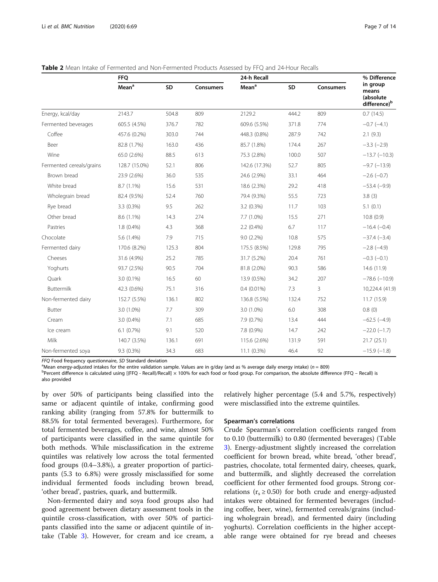|                          | <b>FFQ</b>        |       |           | 24-h Recall       |       |                  | % Difference                                               |
|--------------------------|-------------------|-------|-----------|-------------------|-------|------------------|------------------------------------------------------------|
|                          | Mean <sup>a</sup> | SD    | Consumers | Mean <sup>a</sup> | SD    | <b>Consumers</b> | in group<br>means<br>(absolute<br>difference) <sup>b</sup> |
| Energy, kcal/day         | 2143.7            | 504.8 | 809       | 2129.2            | 444.2 | 809              | 0.7(14.5)                                                  |
| Fermented beverages      | 605.5 (4.5%)      | 376.7 | 782       | 609.6 (5.5%)      | 371.8 | 774              | $-0.7$ $(-4.1)$                                            |
| Coffee                   | 457.6 (0.2%)      | 303.0 | 744       | 448.3 (0.8%)      | 287.9 | 742              | 2.1(9.3)                                                   |
| Beer                     | 82.8 (1.7%)       | 163.0 | 436       | 85.7 (1.8%)       | 174.4 | 267              | $-3.3$ $(-2.9)$                                            |
| Wine                     | 65.0 (2.6%)       | 88.5  | 613       | 75.3 (2.8%)       | 100.0 | 507              | $-13.7$ $(-10.3)$                                          |
| Fermented cereals/grains | 128.7 (15.0%)     | 52.1  | 806       | 142.6 (17.3%)     | 52.7  | 805              | $-9.7$ ( $-13.9$ )                                         |
| Brown bread              | 23.9 (2.6%)       | 36.0  | 535       | 24.6 (2.9%)       | 33.1  | 464              | $-2.6$ $(-0.7)$                                            |
| White bread              | $8.7(1.1\%)$      | 15.6  | 531       | 18.6 (2.3%)       | 29.2  | 418              | $-53.4 (-9.9)$                                             |
| Wholegrain bread         | 82.4 (9.5%)       | 52.4  | 760       | 79.4 (9.3%)       | 55.5  | 723              | 3.8(3)                                                     |
| Rye bread                | 3.3 (0.3%)        | 9.5   | 262       | 3.2(0.3%)         | 11.7  | 103              | 5.1(0.1)                                                   |
| Other bread              | 8.6 (1.1%)        | 14.3  | 274       | $7.7(1.0\%)$      | 15.5  | 271              | 10.8(0.9)                                                  |
| Pastries                 | $1.8(0.4\%)$      | 4.3   | 368       | $2.2(0.4\%)$      | 6.7   | 117              | $-16.4 (-0.4)$                                             |
| Chocolate                | 5.6 (1.4%)        | 7.9   | 715       | $9.0(2.2\%)$      | 10.8  | 575              | $-37.4 (-3.4)$                                             |
| Fermented dairy          | 170.6 (8.2%)      | 125.3 | 804       | 175.5 (8.5%)      | 129.8 | 795              | $-2.8$ $(-4.9)$                                            |
| Cheeses                  | 31.6 (4.9%)       | 25.2  | 785       | 31.7 (5.2%)       | 20.4  | 761              | $-0.3$ $(-0.1)$                                            |
| Yoghurts                 | 93.7 (2.5%)       | 90.5  | 704       | 81.8 (2.0%)       | 90.3  | 586              | 14.6 (11.9)                                                |
| Quark                    | $3.0(0.1\%)$      | 16.5  | 60        | 13.9 (0.5%)       | 34.2  | 207              | $-78.6$ $(-10.9)$                                          |
| Buttermilk               | 42.3 (0.6%)       | 75.1  | 316       | $0.4(0.01\%)$     | 7.3   | 3                | 10,224.4 (41.9)                                            |
| Non-fermented dairy      | 152.7 (5.5%)      | 136.1 | 802       | 136.8 (5.5%)      | 132.4 | 752              | 11.7(15.9)                                                 |
| Butter                   | 3.0 (1.0%)        | 7.7   | 309       | 3.0 (1.0%)        | 6.0   | 308              | 0.8(0)                                                     |
| Cream                    | 3.0 (0.4%)        | 7.1   | 685       | 7.9 (0.7%)        | 13.4  | 444              | $-62.5$ $(-4.9)$                                           |
| Ice cream                | 6.1(0.7%)         | 9.1   | 520       | 7.8 (0.9%)        | 14.7  | 242              | $-22.0$ $(-1.7)$                                           |
| Milk                     | 140.7 (3.5%)      | 136.1 | 691       | 115.6 (2.6%)      | 131.9 | 591              | 21.7(25.1)                                                 |
| Non-fermented soya       | 9.3 (0.3%)        | 34.3  | 683       | 11.1 (0.3%)       | 46.4  | 92               | $-15.9$ $(-1.8)$                                           |

#### <span id="page-6-0"></span>Table 2 Mean Intake of Fermented and Non-Fermented Products Assessed by FFQ and 24-Hour Recalls

FFQ Food frequency questionnaire, SD Standard deviation

<sup>a</sup>Mean energy-adjusted intakes for the entire validation sample. Values are in g/day (and as % average daily energy intake) ( $n = 809$ )

 $P$ Percent difference is calculated using [(FFQ - Recall)/Recall]  $\times$  100% for each food or food group. For comparison, the absolute difference (FFQ - Recall) is also provided

by over 50% of participants being classified into the same or adjacent quintile of intake, confirming good ranking ability (ranging from 57.8% for buttermilk to 88.5% for total fermented beverages). Furthermore, for total fermented beverages, coffee, and wine, almost 50% of participants were classified in the same quintile for both methods. While misclassification in the extreme quintiles was relatively low across the total fermented food groups (0.4–3.8%), a greater proportion of participants (5.3 to 6.8%) were grossly misclassified for some individual fermented foods including brown bread, 'other bread', pastries, quark, and buttermilk.

Non-fermented dairy and soya food groups also had good agreement between dietary assessment tools in the quintile cross-classification, with over 50% of participants classified into the same or adjacent quintile of intake (Table [3](#page-7-0)). However, for cream and ice cream, a

relatively higher percentage (5.4 and 5.7%, respectively) were misclassified into the extreme quintiles.

#### Spearman's correlations

Crude Spearman's correlation coefficients ranged from to 0.10 (buttermilk) to 0.80 (fermented beverages) (Table [3\)](#page-7-0). Energy-adjustment slightly increased the correlation coefficient for brown bread, white bread, 'other bread', pastries, chocolate, total fermented dairy, cheeses, quark, and buttermilk, and slightly decreased the correlation coefficient for other fermented food groups. Strong correlations ( $r_s \geq 0.50$ ) for both crude and energy-adjusted intakes were obtained for fermented beverages (including coffee, beer, wine), fermented cereals/grains (including wholegrain bread), and fermented dairy (including yoghurts). Correlation coefficients in the higher acceptable range were obtained for rye bread and cheeses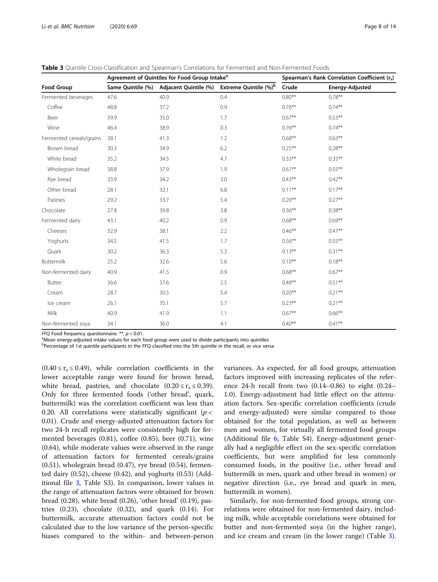|                          |      | Agreement of Quintiles for Food Group Intake <sup>a</sup> | Spearman's Rank Correlation Coefficient (r <sub>s</sub> ) |           |                 |
|--------------------------|------|-----------------------------------------------------------|-----------------------------------------------------------|-----------|-----------------|
| <b>Food Group</b>        |      | Same Quintile (%) Adjacent Quintile (%)                   | Extreme Quintile (%) <sup>b</sup>                         | Crude     | Energy-Adjusted |
| Fermented beverages      | 47.6 | 40.9                                                      | 0.4                                                       | $0.80**$  | $0.78***$       |
| Coffee                   | 48.8 | 37.2                                                      | 0.9                                                       | $0.76***$ | $0.74***$       |
| Beer                     | 39.9 | 35.0                                                      | 1.7                                                       | $0.67***$ | $0.53**$        |
| Wine                     | 46.4 | 38.9                                                      | 0.3                                                       | $0.76***$ | $0.74***$       |
| Fermented cereals/grains | 38.1 | 41.3                                                      | 1.2                                                       | $0.68***$ | $0.63***$       |
| Brown bread              | 30.3 | 34.9                                                      | 6.2                                                       | $0.25***$ | $0.28**$        |
| White bread              | 35.2 | 34.5                                                      | 4.7                                                       | $0.33***$ | $0.35***$       |
| Wholegrain bread         | 38.8 | 37.9                                                      | 1.9                                                       | $0.61***$ | $0.55***$       |
| Rye bread                | 33.9 | 34.2                                                      | 3.0                                                       | $0.43**$  | $0.42***$       |
| Other bread              | 28.1 | 32.1                                                      | 6.8                                                       | $0.11***$ | $0.17***$       |
| Pastries                 | 29.2 | 33.7                                                      | 5.4                                                       | $0.20**$  | $0.27***$       |
| Chocolate                | 27.8 | 39.8                                                      | 3.8                                                       | $0.36***$ | $0.38***$       |
| Fermented dairy          | 43.1 | 40.2                                                      | 0.9                                                       | $0.68***$ | $0.69***$       |
| Cheeses                  | 32.9 | 38.1                                                      | 2.2                                                       | $0.46***$ | $0.47**$        |
| Yoghurts                 | 34.5 | 41.5                                                      | 1.7                                                       | $0.56***$ | $0.55***$       |
| Quark                    | 30.2 | 36.3                                                      | 5.3                                                       | $0.13***$ | $0.31***$       |
| <b>Buttermilk</b>        | 25.2 | 32.6                                                      | 5.6                                                       | $0.10***$ | $0.18***$       |
| Non-fermented dairy      | 40.9 | 41.5                                                      | 0.9                                                       | $0.68***$ | $0.67***$       |
| Butter                   | 36.6 | 37.6                                                      | 2.5                                                       | $0.48**$  | $0.51***$       |
| Cream                    | 28.7 | 30.5                                                      | 5.4                                                       | $0.20**$  | $0.21***$       |
| Ice cream                | 26.1 | 35.1                                                      | 5.7                                                       | $0.23***$ | $0.21***$       |
| Milk                     | 40.9 | 41.9                                                      | 1.1                                                       | $0.67***$ | $0.66***$       |
| Non-fermented soya       | 34.1 | 36.0                                                      | 4.1                                                       | $0.40**$  | $0.41***$       |

<span id="page-7-0"></span>Table 3 Quintile Cross-Classification and Spearman's Correlations for Fermented and Non-Fermented Foods

FFQ Food frequency questionnaire. \*\*,  $p < 0.01$ .

<sup>a</sup>Mean energy-adjusted intake values for each food group were used to divide participants into quintiles

<sup>b</sup>Percentage of 1st quintile participants in the FFQ classified into the 5th quintile in the recall, or vice versa

 $(0.40 \le r_s \le 0.49)$ , while correlation coefficients in the lower acceptable range were found for brown bread, white bread, pastries, and chocolate  $(0.20 \le r_s \le 0.39)$ . Only for three fermented foods ('other bread', quark, buttermilk) was the correlation coefficient was less than 0.20. All correlations were statistically significant ( $p <$ 0.01). Crude and energy-adjusted attenuation factors for two 24-h recall replicates were consistently high for fermented beverages (0.81), coffee (0.85), beer (0.71), wine (0.64), while moderate values were observed in the range of attenuation factors for fermented cereals/grains (0.51), wholegrain bread (0.47), rye bread (0.54), fermented dairy (0.52), cheese (0.42), and yoghurts (0.53) (Additional file [3,](#page-12-0) Table S3). In comparison, lower values in the range of attenuation factors were obtained for brown bread (0.28), white bread (0.26), 'other bread' (0.19), pastries  $(0.23)$ , chocolate  $(0.32)$ , and quark  $(0.14)$ . For buttermilk, accurate attenuation factors could not be calculated due to the low variance of the person-specific biases compared to the within- and between-person variances. As expected, for all food groups, attenuation factors improved with increasing replicates of the reference 24-h recall from two (0.14–0.86) to eight (0.24– 1.0). Energy-adjustment had little effect on the attenuation factors. Sex-specific correlation coefficients (crude and energy-adjusted) were similar compared to those obtained for the total population, as well as between men and women, for virtually all fermented food groups (Additional file [6](#page-12-0), Table S4). Energy-adjustment generally had a negligible effect on the sex-specific correlation coefficients, but were amplified for less commonly consumed foods, in the positive (i.e., other bread and buttermilk in men, quark and other bread in women) or negative direction (i.e., rye bread and quark in men, buttermilk in women).

Similarly, for non-fermented food groups, strong correlations were obtained for non-fermented dairy, including milk, while acceptable correlations were obtained for butter and non-fermented soya (in the higher range), and ice cream and cream (in the lower range) (Table 3).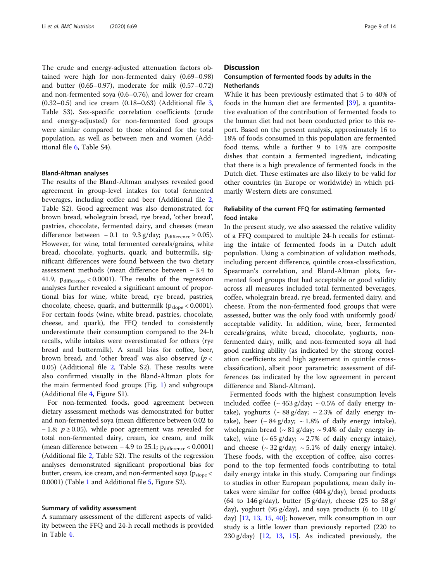The crude and energy-adjusted attenuation factors obtained were high for non-fermented dairy (0.69–0.98) and butter (0.65–0.97), moderate for milk (0.57–0.72) and non-fermented soya (0.6–0.76), and lower for cream (0.32–0.5) and ice cream (0.18–0.63) (Additional file [3](#page-12-0), Table S3). Sex-specific correlation coefficients (crude and energy-adjusted) for non-fermented food groups were similar compared to those obtained for the total population, as well as between men and women (Additional file [6,](#page-12-0) Table S4).

#### Bland-Altman analyses

The results of the Bland-Altman analyses revealed good agreement in group-level intakes for total fermented beverages, including coffee and beer (Additional file [2](#page-12-0), Table S2). Good agreement was also demonstrated for brown bread, wholegrain bread, rye bread, 'other bread', pastries, chocolate, fermented dairy, and cheeses (mean difference between − 0.1 to 9.3 g/day;  $p_{difference} \ge 0.05$ ). However, for wine, total fermented cereals/grains, white bread, chocolate, yoghurts, quark, and buttermilk, significant differences were found between the two dietary assessment methods (mean difference between − 3.4 to 41.9, p<sub>difference</sub> < 0.0001). The results of the regression analyses further revealed a significant amount of proportional bias for wine, white bread, rye bread, pastries, chocolate, cheese, quark, and buttermilk  $(p_{slope} < 0.0001)$ . For certain foods (wine, white bread, pastries, chocolate, cheese, and quark), the FFQ tended to consistently underestimate their consumption compared to the 24-h recalls, while intakes were overestimated for others (rye bread and buttermilk). A small bias for coffee, beer, brown bread, and 'other bread' was also observed ( $p <$ 0.05) (Additional file [2](#page-12-0), Table S2). These results were also confirmed visually in the Bland-Altman plots for the main fermented food groups (Fig. [1\)](#page-9-0) and subgroups (Additional file [4](#page-12-0), Figure S1).

For non-fermented foods, good agreement between dietary assessment methods was demonstrated for butter and non-fermented soya (mean difference between 0.02 to − 1.8;  $p \ge 0.05$ ), while poor agreement was revealed for total non-fermented dairy, cream, ice cream, and milk (mean difference between  $-4.9$  to 25.1;  $p_{difference} < 0.0001$ ) (Additional file [2](#page-12-0), Table S2). The results of the regression analyses demonstrated significant proportional bias for butter, cream, ice cream, and non-fermented soya (pslope < 0.0001) (Table [1](#page-5-0) and Additional file [5](#page-12-0), Figure S2).

#### Summary of validity assessment

A summary assessment of the different aspects of validity between the FFQ and 24-h recall methods is provided in Table [4](#page-10-0).

#### **Discussion**

# Consumption of fermented foods by adults in the **Netherlands**

While it has been previously estimated that 5 to 40% of foods in the human diet are fermented [[39](#page-13-0)], a quantitative evaluation of the contribution of fermented foods to the human diet had not been conducted prior to this report. Based on the present analysis, approximately 16 to 18% of foods consumed in this population are fermented food items, while a further 9 to 14% are composite dishes that contain a fermented ingredient, indicating that there is a high prevalence of fermented foods in the Dutch diet. These estimates are also likely to be valid for other countries (in Europe or worldwide) in which primarily Western diets are consumed.

# Reliability of the current FFQ for estimating fermented food intake

In the present study, we also assessed the relative validity of a FFQ compared to multiple 24-h recalls for estimating the intake of fermented foods in a Dutch adult population. Using a combination of validation methods, including percent difference, quintile cross-classification, Spearman's correlation, and Bland-Altman plots, fermented food groups that had acceptable or good validity across all measures included total fermented beverages, coffee, wholegrain bread, rye bread, fermented dairy, and cheese. From the non-fermented food groups that were assessed, butter was the only food with uniformly good/ acceptable validity. In addition, wine, beer, fermented cereals/grains, white bread, chocolate, yoghurts, nonfermented dairy, milk, and non-fermented soya all had good ranking ability (as indicated by the strong correlation coefficients and high agreement in quintile crossclassification), albeit poor parametric assessment of differences (as indicated by the low agreement in percent difference and Bland-Altman).

Fermented foods with the highest consumption levels included coffee  $({\sim}453 \text{ g/day}; \sim 0.5\%$  of daily energy intake), yoghurts  $({\sim 88 \text{ g/day}}; {\sim 2.3\%}$  of daily energy intake), beer  $({\sim 84 \text{ g/day}}; {\sim 1.8\%}$  of daily energy intake), wholegrain bread ( $\sim 81$  g/day;  $\sim 9.4\%$  of daily energy intake), wine  $({\sim}65 \text{ g/day}; {\sim}2.7\%$  of daily energy intake), and cheese  $\left(\sim 32 \frac{\text{g}}{\text{day}}\right)$ ;  $\sim 5.1\%$  of daily energy intake). These foods, with the exception of coffee, also correspond to the top fermented foods contributing to total daily energy intake in this study. Comparing our findings to studies in other European populations, mean daily intakes were similar for coffee (404 g/day), bread products (64 to 146 g/day), butter (5 g/day), cheese (25 to 58 g/ day), yoghurt (95 g/day), and soya products (6 to  $10 \text{ g}/$ day) [[12](#page-13-0), [13,](#page-13-0) [15,](#page-13-0) [40](#page-13-0)]; however, milk consumption in our study is a little lower than previously reported (220 to  $230 \text{ g/day}$  [\[12](#page-13-0), [13,](#page-13-0) [15](#page-13-0)]. As indicated previously, the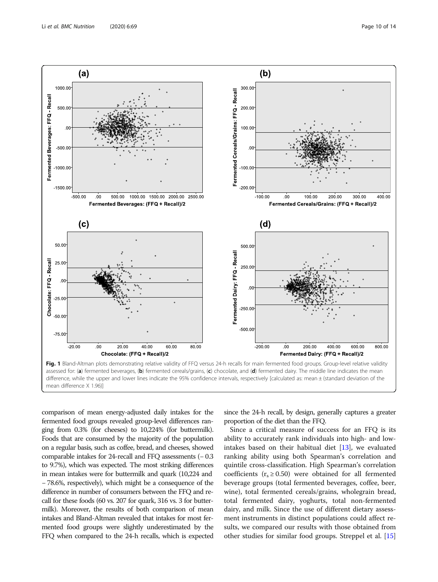<span id="page-9-0"></span>

comparison of mean energy-adjusted daily intakes for the fermented food groups revealed group-level differences ranging from 0.3% (for cheeses) to 10,224% (for buttermilk). Foods that are consumed by the majority of the population on a regular basis, such as coffee, bread, and cheeses, showed comparable intakes for 24-recall and FFQ assessments (− 0.3 to 9.7%), which was expected. The most striking differences in mean intakes were for buttermilk and quark (10,224 and − 78.6%, respectively), which might be a consequence of the difference in number of consumers between the FFQ and recall for these foods (60 vs. 207 for quark, 316 vs. 3 for buttermilk). Moreover, the results of both comparison of mean intakes and Bland-Altman revealed that intakes for most fermented food groups were slightly underestimated by the FFQ when compared to the 24-h recalls, which is expected

since the 24-h recall, by design, generally captures a greater proportion of the diet than the FFQ.

Since a critical measure of success for an FFQ is its ability to accurately rank individuals into high- and lowintakes based on their habitual diet [[13\]](#page-13-0), we evaluated ranking ability using both Spearman's correlation and quintile cross-classification. High Spearman's correlation coefficients ( $r_s \ge 0.50$ ) were obtained for all fermented beverage groups (total fermented beverages, coffee, beer, wine), total fermented cereals/grains, wholegrain bread, total fermented dairy, yoghurts, total non-fermented dairy, and milk. Since the use of different dietary assessment instruments in distinct populations could affect results, we compared our results with those obtained from other studies for similar food groups. Streppel et al. [[15](#page-13-0)]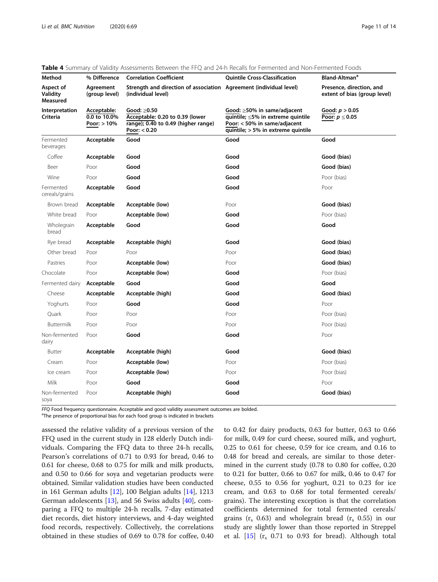| Method                            | % Difference                               | <b>Correlation Coefficient</b>                                                                        | <b>Quintile Cross-Classification</b>                                                                                                         | Bland-Altman <sup>a</sup>                                |
|-----------------------------------|--------------------------------------------|-------------------------------------------------------------------------------------------------------|----------------------------------------------------------------------------------------------------------------------------------------------|----------------------------------------------------------|
| Aspect of<br>Validity<br>Measured | Agreement<br>(group level)                 | Strength and direction of association Agreement (individual level)<br>(individual level)              |                                                                                                                                              | Presence, direction, and<br>extent of bias (group level) |
| Interpretation<br>Criteria        | Acceptable:<br>0.0 to 10.0%<br>Poor: > 10% | Good: ≥0.50<br>Acceptable: 0.20 to 0.39 (lower<br>range); 0.40 to 0.49 (higher range)<br>Poor: < 0.20 | Good: ≥50% in same/adjacent<br>quintile; $\leq$ 5% in extreme quintile<br>Poor: < 50% in same/adjacent<br>quintile; > 5% in extreme quintile | Good: $p > 0.05$<br>Poor: $p \leq 0.05$                  |
| Fermented<br>beverages            | Acceptable                                 | Good                                                                                                  | Good                                                                                                                                         | Good                                                     |
| Coffee                            | Acceptable                                 | Good                                                                                                  | Good                                                                                                                                         | Good (bias)                                              |
| Beer                              | Poor                                       | Good                                                                                                  | Good                                                                                                                                         | Good (bias)                                              |
| Wine                              | Poor                                       | Good                                                                                                  | Good                                                                                                                                         | Poor (bias)                                              |
| Fermented<br>cereals/grains       | Acceptable                                 | Good                                                                                                  | Good                                                                                                                                         | Poor                                                     |
| Brown bread                       | Acceptable                                 | Acceptable (low)                                                                                      | Poor                                                                                                                                         | Good (bias)                                              |
| White bread                       | Poor                                       | Acceptable (low)                                                                                      | Good                                                                                                                                         | Poor (bias)                                              |
| Wholegrain<br>bread               | Acceptable                                 | Good                                                                                                  | Good                                                                                                                                         | Good                                                     |
| Rye bread                         | Acceptable                                 | Acceptable (high)                                                                                     | Good                                                                                                                                         | Good (bias)                                              |
| Other bread                       | Poor                                       | Poor                                                                                                  | Poor                                                                                                                                         | Good (bias)                                              |
| Pastries                          | Poor                                       | Acceptable (low)                                                                                      | Poor                                                                                                                                         | Good (bias)                                              |
| Chocolate                         | Poor                                       | Acceptable (low)                                                                                      | Good                                                                                                                                         | Poor (bias)                                              |
| Fermented dairy                   | Acceptable                                 | Good                                                                                                  | Good                                                                                                                                         | Good                                                     |
| Cheese                            | Acceptable                                 | Acceptable (high)                                                                                     | Good                                                                                                                                         | Good (bias)                                              |
| Yoghurts                          | Poor                                       | Good                                                                                                  | Good                                                                                                                                         | Poor                                                     |
| Quark                             | Poor                                       | Poor                                                                                                  | Poor                                                                                                                                         | Poor (bias)                                              |
| Buttermilk                        | Poor                                       | Poor                                                                                                  | Poor                                                                                                                                         | Poor (bias)                                              |
| Non-fermented<br>dairy            | Poor                                       | Good                                                                                                  | Good                                                                                                                                         | Poor                                                     |
| Butter                            | Acceptable                                 | Acceptable (high)                                                                                     | Good                                                                                                                                         | Good (bias)                                              |
| Cream                             | Poor                                       | Acceptable (low)                                                                                      | Poor                                                                                                                                         | Poor (bias)                                              |
| Ice cream                         | Poor                                       | Acceptable (low)                                                                                      | Poor                                                                                                                                         | Poor (bias)                                              |
| Milk                              | Poor                                       | Good                                                                                                  | Good                                                                                                                                         | Poor                                                     |
| Non-fermented<br>soya             | Poor                                       | Acceptable (high)                                                                                     | Good                                                                                                                                         | Good (bias)                                              |

<span id="page-10-0"></span>

FFQ Food frequency questionnaire. Acceptable and good validity assessment outcomes are bolded.

<sup>a</sup>The presence of proportional bias for each food group is indicated in brackets

assessed the relative validity of a previous version of the FFQ used in the current study in 128 elderly Dutch individuals. Comparing the FFQ data to three 24-h recalls, Pearson's correlations of 0.71 to 0.93 for bread, 0.46 to 0.61 for cheese, 0.68 to 0.75 for milk and milk products, and 0.50 to 0.66 for soya and vegetarian products were obtained. Similar validation studies have been conducted in 161 German adults [[12\]](#page-13-0), 100 Belgian adults [[14](#page-13-0)], 1213 German adolescents [\[13\]](#page-13-0), and 56 Swiss adults [\[40\]](#page-13-0), comparing a FFQ to multiple 24-h recalls, 7-day estimated diet records, diet history interviews, and 4-day weighted food records, respectively. Collectively, the correlations obtained in these studies of 0.69 to 0.78 for coffee, 0.40 to 0.42 for dairy products, 0.63 for butter, 0.63 to 0.66 for milk, 0.49 for curd cheese, soured milk, and yoghurt, 0.25 to 0.61 for cheese, 0.59 for ice cream, and 0.16 to 0.48 for bread and cereals, are similar to those determined in the current study (0.78 to 0.80 for coffee, 0.20 to 0.21 for butter, 0.66 to 0.67 for milk, 0.46 to 0.47 for cheese, 0.55 to 0.56 for yoghurt, 0.21 to 0.23 for ice cream, and 0.63 to 0.68 for total fermented cereals/ grains). The interesting exception is that the correlation coefficients determined for total fermented cereals/ grains ( $r_s$  0.63) and wholegrain bread ( $r_s$  0.55) in our study are slightly lower than those reported in Streppel et al.  $[15]$  ( $r_s$  0.71 to 0.93 for bread). Although total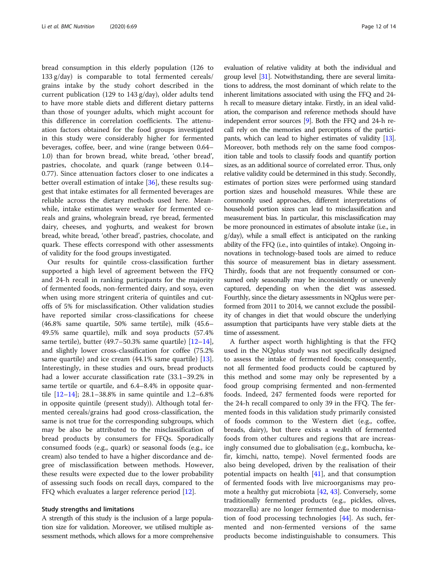bread consumption in this elderly population (126 to 133 g/day) is comparable to total fermented cereals/ grains intake by the study cohort described in the current publication (129 to 143 g/day), older adults tend to have more stable diets and different dietary patterns than those of younger adults, which might account for this difference in correlation coefficients. The attenuation factors obtained for the food groups investigated in this study were considerably higher for fermented beverages, coffee, beer, and wine (range between 0.64– 1.0) than for brown bread, white bread, 'other bread', pastries, chocolate, and quark (range between 0.14– 0.77). Since attenuation factors closer to one indicates a better overall estimation of intake [\[36](#page-13-0)], these results suggest that intake estimates for all fermented beverages are reliable across the dietary methods used here. Meanwhile, intake estimates were weaker for fermented cereals and grains, wholegrain bread, rye bread, fermented dairy, cheeses, and yoghurts, and weakest for brown bread, white bread, 'other bread', pastries, chocolate, and quark. These effects correspond with other assessments of validity for the food groups investigated.

Our results for quintile cross-classification further supported a high level of agreement between the FFQ and 24-h recall in ranking participants for the majority of fermented foods, non-fermented dairy, and soya, even when using more stringent criteria of quintiles and cutoffs of 5% for misclassification. Other validation studies have reported similar cross-classifications for cheese (46.8% same quartile, 50% same tertile), milk (45.6– 49.5% same quartile), milk and soya products (57.4% same tertile), butter  $(49.7–50.3\%$  same quartile)  $[12–14]$  $[12–14]$  $[12–14]$  $[12–14]$  $[12–14]$ , and slightly lower cross-classification for coffee (75.2% same quartile) and ice cream (44.1% same quartile) [\[13](#page-13-0)]. Interestingly, in these studies and ours, bread products had a lower accurate classification rate (33.1–39.2% in same tertile or quartile, and 6.4–8.4% in opposite quartile  $[12-14]$  $[12-14]$  $[12-14]$  $[12-14]$  $[12-14]$ ; 28.1–38.8% in same quintile and 1.2–6.8% in opposite quintile (present study)). Although total fermented cereals/grains had good cross-classification, the same is not true for the corresponding subgroups, which may be also be attributed to the misclassification of bread products by consumers for FFQs. Sporadically consumed foods (e.g., quark) or seasonal foods (e.g., ice cream) also tended to have a higher discordance and degree of misclassification between methods. However, these results were expected due to the lower probability of assessing such foods on recall days, compared to the FFQ which evaluates a larger reference period [\[12](#page-13-0)].

#### Study strengths and limitations

A strength of this study is the inclusion of a large population size for validation. Moreover, we utilised multiple assessment methods, which allows for a more comprehensive

evaluation of relative validity at both the individual and group level [\[31\]](#page-13-0). Notwithstanding, there are several limitations to address, the most dominant of which relate to the inherent limitations associated with using the FFQ and 24 h recall to measure dietary intake. Firstly, in an ideal validation, the comparison and reference methods should have independent error sources [[9](#page-13-0)]. Both the FFQ and 24-h recall rely on the memories and perceptions of the participants, which can lead to higher estimates of validity [\[13](#page-13-0)]. Moreover, both methods rely on the same food composition table and tools to classify foods and quantify portion sizes, as an additional source of correlated error. Thus, only relative validity could be determined in this study. Secondly, estimates of portion sizes were performed using standard portion sizes and household measures. While these are commonly used approaches, different interpretations of household portion sizes can lead to misclassification and measurement bias. In particular, this misclassification may be more pronounced in estimates of absolute intake (i.e., in g/day), while a small effect is anticipated on the ranking ability of the FFQ (i.e., into quintiles of intake). Ongoing innovations in technology-based tools are aimed to reduce this source of measurement bias in dietary assessment. Thirdly, foods that are not frequently consumed or consumed only seasonally may be inconsistently or unevenly captured, depending on when the diet was assessed. Fourthly, since the dietary assessments in NQplus were performed from 2011 to 2014, we cannot exclude the possibility of changes in diet that would obscure the underlying assumption that participants have very stable diets at the time of assessment.

A further aspect worth highlighting is that the FFQ used in the NQplus study was not specifically designed to assess the intake of fermented foods; consequently, not all fermented food products could be captured by this method and some may only be represented by a food group comprising fermented and non-fermented foods. Indeed, 247 fermented foods were reported for the 24-h recall compared to only 39 in the FFQ. The fermented foods in this validation study primarily consisted of foods common to the Western diet (e.g., coffee, breads, dairy), but there exists a wealth of fermented foods from other cultures and regions that are increasingly consumed due to globalisation (e.g., kombucha, kefir, kimchi, natto, tempe). Novel fermented foods are also being developed, driven by the realisation of their potential impacts on health [[41\]](#page-13-0), and that consumption of fermented foods with live microorganisms may promote a healthy gut microbiota [\[42](#page-13-0), [43](#page-13-0)]. Conversely, some traditionally fermented products (e.g., pickles, olives, mozzarella) are no longer fermented due to modernisation of food processing technologies [[44\]](#page-13-0). As such, fermented and non-fermented versions of the same products become indistinguishable to consumers. This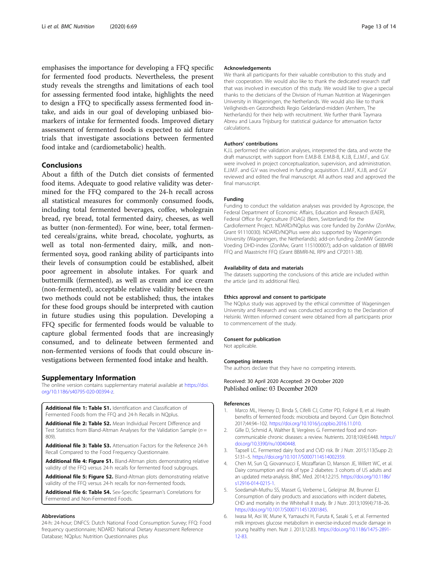<span id="page-12-0"></span>emphasises the importance for developing a FFQ specific for fermented food products. Nevertheless, the present study reveals the strengths and limitations of each tool for assessing fermented food intake, highlights the need to design a FFQ to specifically assess fermented food intake, and aids in our goal of developing unbiased biomarkers of intake for fermented foods. Improved dietary assessment of fermented foods is expected to aid future trials that investigate associations between fermented food intake and (cardiometabolic) health.

# Conclusions

About a fifth of the Dutch diet consists of fermented food items. Adequate to good relative validity was determined for the FFQ compared to the 24-h recall across all statistical measures for commonly consumed foods, including total fermented beverages, coffee, wholegrain bread, rye bread, total fermented dairy, cheeses, as well as butter (non-fermented). For wine, beer, total fermented cereals/grains, white bread, chocolate, yoghurts, as well as total non-fermented dairy, milk, and nonfermented soya, good ranking ability of participants into their levels of consumption could be established, albeit poor agreement in absolute intakes. For quark and buttermilk (fermented), as well as cream and ice cream (non-fermented), acceptable relative validity between the two methods could not be established; thus, the intakes for these food groups should be interpreted with caution in future studies using this population. Developing a FFQ specific for fermented foods would be valuable to capture global fermented foods that are increasingly consumed, and to delineate between fermented and non-fermented versions of foods that could obscure investigations between fermented food intake and health.

#### Supplementary Information

The online version contains supplementary material available at [https://doi.](https://doi.org/10.1186/s40795-020-00394-z) [org/10.1186/s40795-020-00394-z.](https://doi.org/10.1186/s40795-020-00394-z)

Additional file 1: Table S1. Identification and Classification of Fermented Foods from the FFQ and 24-h Recalls in NQplus.

Additional file 2: Table S2. Mean Individual Percent Difference and Test Statistics from Bland-Altman Analyses for the Validation Sample ( $n =$ 809).

Additional file 3: Table S3. Attenuation Factors for the Reference 24-h Recall Compared to the Food Frequency Questionnaire.

Additional file 4: Figure S1. Bland-Altman plots demonstrating relative validity of the FFQ versus 24-h recalls for fermented food subgroups.

Additional file 5: Figure S2. Bland-Altman plots demonstrating relative validity of the FFQ versus 24-h recalls for non-fermented foods.

Additional file 6: Table S4. Sex-Specific Spearman's Correlations for Fermented and Non-Fermented Foods.

#### Abbreviations

24-h: 24-hour; DNFCS: Dutch National Food Consumption Survey; FFQ: Food frequency questionnaire; NDARD: National Dietary Assessment Reference Database; NQplus: Nutrition Questionnaires plus

#### Acknowledgements

We thank all participants for their valuable contribution to this study and their cooperation. We would also like to thank the dedicated research staff that was involved in execution of this study. We would like to give a special thanks to the dieticians of the Division of Human Nutrition at Wageningen University in Wageningen, the Netherlands. We would also like to thank Veiligheids-en Gezondheids Regio Gelderland-midden (Arnhem, The Netherlands) for their help with recruitment. We further thank Taymara Abreu and Laura Trijsburg for statistical guidance for attenuation factor calculations.

#### Authors' contributions

K.J.L performed the validation analyses, interpreted the data, and wrote the draft manuscript, with support from E.M.B-B. E.M.B-B, K.J.B, E.J.M.F., and G.V. were involved in project conceptualization, supervision, and administration. E.J.M.F. and G.V was involved in funding acquisition. E.J.M.F, K.J.B, and G.V reviewed and edited the final manuscript. All authors read and approved the final manuscript.

#### Funding

Funding to conduct the validation analyses was provided by Agroscope, the Federal Department of Economic Affairs, Education and Research (EAER), Federal Office for Agriculture (FOAG) (Bern, Switzerland) for the Cardioferment Project. NDARD/NQplus was core funded by ZonMw (ZonMw, Grant 91110030). NDARD/NQPlus were also supported by Wageningen University (Wageningen, the Netherlands); add-on funding ZonMW Gezonde Voeding DHD-index (ZonMw, Grant 115100007); add-on validation of BBMRI FFQ and Maastricht FFQ (Grant BBMRI-NL RP9 and CP2011-38).

#### Availability of data and materials

The datasets supporting the conclusions of this article are included within the article (and its additional files).

#### Ethics approval and consent to participate

The NQplus study was approved by the ethical committee of Wageningen University and Research and was conducted according to the Declaration of Helsinki. Written informed consent were obtained from all participants prior to commencement of the study.

#### Consent for publication

Not applicable.

#### Competing interests

The authors declare that they have no competing interests.

Received: 30 April 2020 Accepted: 29 October 2020

#### References

- 1. Marco ML, Heeney D, Binda S, Cifelli CJ, Cotter PD, Foligné B, et al. Health benefits of fermented foods: microbiota and beyond. Curr Opin Biotechnol. 2017;44:94–102. [https://doi.org/10.1016/j.copbio.2016.11.010.](https://doi.org/10.1016/j.copbio.2016.11.010)
- 2. Gille D, Schmid A, Walther B, Vergères G. Fermented food and noncommunicable chronic diseases: a review. Nutrients. 2018;10(4):E448. [https://](https://doi.org/10.3390/nu10040448) [doi.org/10.3390/nu10040448](https://doi.org/10.3390/nu10040448).
- 3. Tapsell LC. Fermented dairy food and CVD risk. Br J Nutr. 2015;113(Supp 2): S131–5. [https://doi.org/10.1017/S0007114514002359.](https://doi.org/10.1017/S0007114514002359)
- 4. Chen M, Sun Q, Giovannucci E, Mozaffarian D, Manson JE, Willett WC, et al. Dairy consumption and risk of type 2 diabetes: 3 cohorts of US adults and an updated meta-analysis. BMC Med. 2014;12:215. [https://doi.org/10.1186/](https://doi.org/10.1186/s12916-014-0215-1) [s12916-014-0215-1.](https://doi.org/10.1186/s12916-014-0215-1)
- 5. Soedamah-Muthu SS, Masset G, Verberne L, Geleijnse JM, Brunner EJ. Consumption of dairy products and associations with incident diabetes, CHD and mortality in the Whitehall II study. Br J Nutr. 2013;109(4):718–26. [https://doi.org/10.1017/S0007114512001845.](https://doi.org/10.1017/S0007114512001845)
- 6. Iwasa M, Aoi W, Mune K, Yamauchi H, Furuta K, Sasaki S, et al. Fermented milk improves glucose metabolism in exercise-induced muscle damage in young healthy men. Nutr J. 2013;12:83. [https://doi.org/10.1186/1475-2891-](https://doi.org/10.1186/1475-2891-12-83) [12-83](https://doi.org/10.1186/1475-2891-12-83).